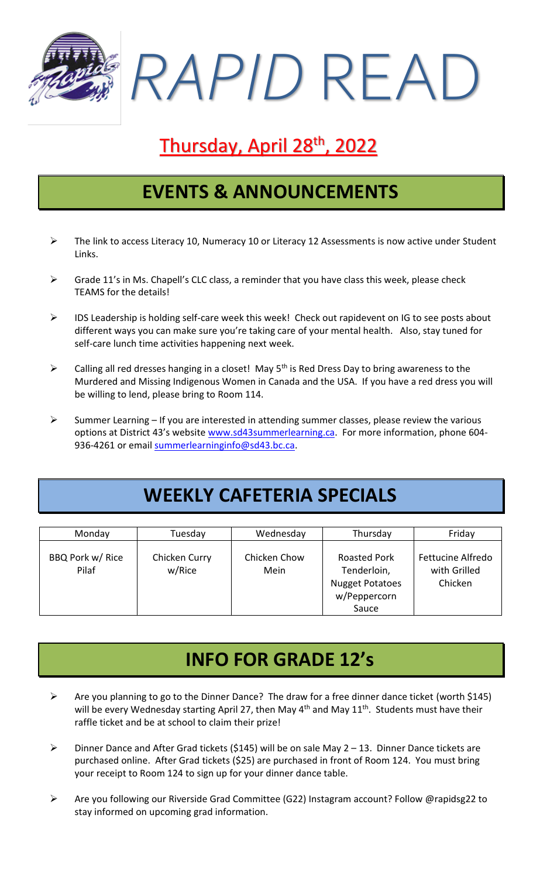*RAPID* READ

# Thursday, April 28<sup>th</sup>, 2022

#### **EVENTS & ANNOUNCEMENTS**

- $\triangleright$  The link to access Literacy 10, Numeracy 10 or Literacy 12 Assessments is now active under Student Links.
- $\triangleright$  Grade 11's in Ms. Chapell's CLC class, a reminder that you have class this week, please check TEAMS for the details!
- ➢ IDS Leadership is holding self-care week this week! Check out rapidevent on IG to see posts about different ways you can make sure you're taking care of your mental health. Also, stay tuned for self-care lunch time activities happening next week.
- $\triangleright$  Calling all red dresses hanging in a closet! May 5<sup>th</sup> is Red Dress Day to bring awareness to the Murdered and Missing Indigenous Women in Canada and the USA. If you have a red dress you will be willing to lend, please bring to Room 114.
- $\triangleright$  Summer Learning If you are interested in attending summer classes, please review the various options at District 43's website [www.sd43summerlearning.ca.](http://www.sd43summerlearning.ca/) For more information, phone 604 936-4261 or email [summerlearninginfo@sd43.bc.ca.](mailto:summerlearninginfo@sd43.bc.ca)

## **WEEKLY CAFETERIA SPECIALS**

| Monday                    | Tuesday                 | Wednesday            | Thursday                                                                              | Friday                                              |
|---------------------------|-------------------------|----------------------|---------------------------------------------------------------------------------------|-----------------------------------------------------|
| BBQ Pork w/ Rice<br>Pilaf | Chicken Curry<br>w/Rice | Chicken Chow<br>Mein | <b>Roasted Pork</b><br>Tenderloin,<br><b>Nugget Potatoes</b><br>w/Peppercorn<br>Sauce | <b>Fettucine Alfredo</b><br>with Grilled<br>Chicken |

#### **INFO FOR GRADE 12's**

- ➢ Are you planning to go to the Dinner Dance? The draw for a free dinner dance ticket (worth \$145) will be every Wednesday starting April 27, then May  $4<sup>th</sup>$  and May  $11<sup>th</sup>$ . Students must have their raffle ticket and be at school to claim their prize!
- ➢ Dinner Dance and After Grad tickets (\$145) will be on sale May 2 13. Dinner Dance tickets are purchased online. After Grad tickets (\$25) are purchased in front of Room 124. You must bring your receipt to Room 124 to sign up for your dinner dance table.
- ➢ Are you following our Riverside Grad Committee (G22) Instagram account? Follow @rapidsg22 to stay informed on upcoming grad information.